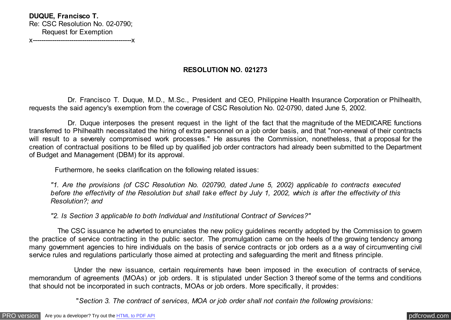**DUQUE, Francisco T.** Re: CSC Resolution No. 02-0790; Request for Exemption

x----------------------------------------------x

## **RESOLUTION NO. 021273**

 Dr. Francisco T. Duque, M.D., M.Sc., President and CEO, Philippine Health Insurance Corporation or Philhealth, requests the said agency's exemption from the coverage of CSC Resolution No. 02-0790, dated June 5, 2002.

 Dr. Duque interposes the present request in the light of the fact that the magnitude of the MEDICARE functions transferred to Philhealth necessitated the hiring of extra personnel on a job order basis, and that "non-renewal of their contracts will result to a severely compromised work processes." He assures the Commission, nonetheless, that a proposal for the creation of contractual positions to be filled up by qualified job order contractors had already been submitted to the Department of Budget and Management (DBM) for its approval.

Furthermore, he seeks clarification on the following related issues:

*"1. Are the provisions (of CSC Resolution No. 020790, dated June 5, 2002) applicable to contracts executed before the effectivity of the Resolution but shall take effect by July 1, 2002, which is after the effectivity of this Resolution?; and*

*"2. Is Section 3 applicable to both Individual and Institutional Contract of Services?"*

 The CSC issuance he adverted to enunciates the new policy guidelines recently adopted by the Commission to govern the practice of service contracting in the public sector. The promulgation came on the heels of the growing tendency among many government agencies to hire individuals on the basis of service contracts or job orders as a a way of circumventing civil service rules and regulations particularly those aimed at protecting and safeguarding the merit and fitness principle.

 Under the new issuance, certain requirements have been imposed in the execution of contracts of service, memorandum of agreements (MOAs) or job orders. It is stipulated under Section 3 thereof some of the terms and conditions that should not be incorporated in such contracts, MOAs or job orders. More specifically, it provides:

"*Section 3. The contract of services, MOA or job order shall not contain the following provisions:*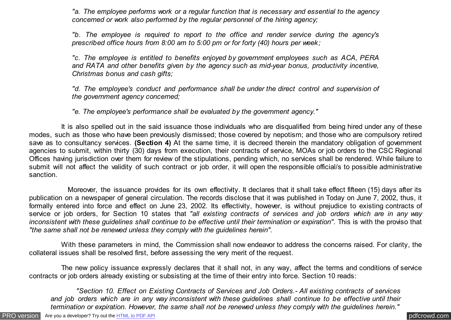*"a. The employee performs work or a regular function that is necessary and essential to the agency concerned or work also performed by the regular personnel of the hiring agency;*

*"b. The employee is required to report to the office and render service during the agency's prescribed office hours from 8:00 am to 5:00 pm or for forty (40) hours per week;*

*"c. The employee is entitled to benefits enjoyed by government employees such as ACA, PERA and RATA and other benefits given by the agency such as mid-year bonus, productivity incentive, Christmas bonus and cash gifts;*

*"d. The employee's conduct and performance shall be under the direct control and supervision of the government agency concerned;*

*"e. The employee's performance shall be evaluated by the government agency."*

 It is also spelled out in the said issuance those individuals who are disqualified from being hired under any of these modes, such as those who have been previously dismissed; those covered by nepotism; and those who are compulsory retired save as to consultancy services. **(Section 4)** At the same time, it is decreed therein the mandatory obligation of government agencies to submit, within thirty (30) days from execution, their contracts of service, MOAs or job orders to the CSC Regional Offices having jurisdiction over them for review of the stipulations, pending which, no services shall be rendered. While failure to submit will not affect the validity of such contract or job order, it will open the responsible official/s to possible administrative sanction.

 Moreover, the issuance provides for its own effectivity. It declares that it shall take effect fifteen (15) days after its publication on a newspaper of general circulation. The records disclose that it was published in Today on June 7, 2002, thus, it formally entered into force and effect on June 23, 2002. Its effectivity, however, is without prejudice to existing contracts of service or job orders, for Section 10 states that *"all existing contracts of services and job orders which are in any way inconsistent with these guidelines shall continue to be effective until their termination or expiration"*. This is with the proviso that *"the same shall not be renewed unless they comply with the guidelines herein".*

 With these parameters in mind, the Commission shall now endeavor to address the concerns raised. For clarity, the collateral issues shall be resolved first, before assessing the very merit of the request.

 The new policy issuance expressly declares that it shall not, in any way, affect the terms and conditions of service contracts or job orders already existing or subsisting at the time of their entry into force. Section 10 reads:

 *"Section 10. Effect on Existing Contracts of Services and Job Orders.- All existing contracts of services and job orders which are in any way inconsistent with these guidelines shall continue to be effective until their termination or expiration. However, the same shall not be renewed unless they comply with the guidelines herein."*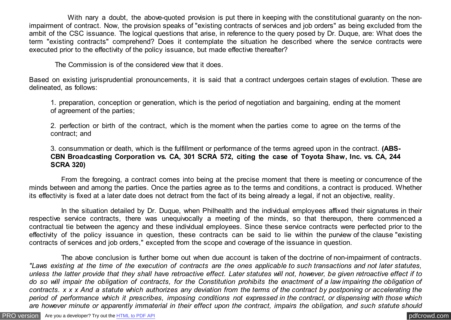With nary a doubt, the above-quoted provision is put there in keeping with the constitutional quaranty on the nonimpairment of contract. Now, the provision speaks of "existing contracts of services and job orders" as being excluded from the ambit of the CSC issuance. The logical questions that arise, in reference to the query posed by Dr. Duque, are: What does the term "existing contracts" comprehend? Does it contemplate the situation he described where the service contracts were executed prior to the effectivity of the policy issuance, but made effective thereafter?

The Commission is of the considered view that it does.

Based on existing jurisprudential pronouncements, it is said that a contract undergoes certain stages of evolution. These are delineated, as follows:

1. preparation, conception or generation, which is the period of negotiation and bargaining, ending at the moment of agreement of the parties;

2. perfection or birth of the contract, which is the moment when the parties come to agree on the terms of the contract; and

3. consummation or death, which is the fulfillment or performance of the terms agreed upon in the contract. **(ABS-CBN Broadcasting Corporation vs. CA, 301 SCRA 572, citing the case of Toyota Shaw, Inc. vs. CA, 244 SCRA 320)**

 From the foregoing, a contract comes into being at the precise moment that there is meeting or concurrence of the minds between and among the parties. Once the parties agree as to the terms and conditions, a contract is produced. Whether its effectivity is fixed at a later date does not detract from the fact of its being already a legal, if not an objective, reality.

 In the situation detailed by Dr. Duque, when Philhealth and the individual employees affixed their signatures in their respective service contracts, there was unequivocally a meeting of the minds, so that thereupon, there commenced a contractual tie between the agency and these individual employees. Since these service contracts were perfected prior to the effectivity of the policy issuance in question, these contracts can be said to lie within the purview of the clause "existing contracts of services and job orders," excepted from the scope and coverage of the issuance in question.

 The above conclusion is further borne out when due account is taken of the doctrine of non-impairment of contracts. *"Laws existing at the time of the execution of contracts are the ones applicable to such transactions and not later statutes, unless the latter provide that they shall have retroactive effect. Later statutes will not, however, be given retroactive effect if to do so will impair the obligation of contracts, for the Constitution prohibits the enactment of a law impairing the obligation of contracts. x x x And a statute which authorizes any deviation from the terms of the contract by postponing or accelerating the period of performance which it prescribes, imposing conditions not expressed in the contract, or dispensing with those which are however minute or apparently immaterial in their effect upon the contract, impairs the obligation, and such statute should*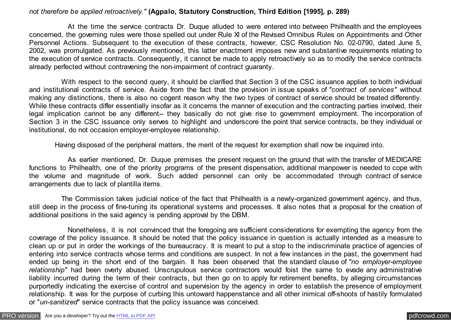## *not therefore be applied retroactively."* **(Agpalo, Statutory Construction, Third Edition [1995], p. 289)**

 At the time the service contracts Dr. Duque alluded to were entered into between Philhealth and the employees concerned, the governing rules were those spelled out under Rule XI of the Revised Omnibus Rules on Appointments and Other Personnel Actions. Subsequent to the execution of these contracts, however, CSC Resolution No. 02-0790, dated June 5, 2002, was promulgated. As previously mentioned, this latter enactment imposes new and substantive requirements relating to the execution of service contracts. Consequently, it cannot be made to apply retroactively so as to modify the service contracts already perfected without contravening the non-impairment of contract guaranty.

 With respect to the second query, it should be clarified that Section 3 of the CSC issuance applies to both individual and institutional contracts of service. Aside from the fact that the provision in issue speaks of *"contract of services"* without making any distinctions, there is also no cogent reason why the two types of contract of service should be treated differently. While these contracts differ essentially insofar as it concerns the manner of execution and the contracting parties involved, their legal implication cannot be any different-- they basically do not give rise to government employment. The incorporation of Section 3 in the CSC issuance only serves to highlight and underscore the point that service contracts, be they individual or institutional, do not occasion employer-employee relationship.

Having disposed of the peripheral matters, the merit of the request for exemption shall now be inquired into.

 As earlier mentioned, Dr. Duque premises the present request on the ground that with the transfer of MEDICARE functions to Philhealth, one of the priority programs of the present dispensation, additional manpower is needed to cope with the volume and magnitude of work. Such added personnel can only be accommodated through contract of service arrangements due to lack of plantilla items.

 The Commission takes judicial notice of the fact that Philhealth is a newly-organized government agency, and thus, still deep in the process of fine-tuning its operational systems and processes. It also notes that a proposal for the creation of additional positions in the said agency is pending approval by the DBM.

 Nonetheless, it is not convinced that the foregoing are sufficient considerations for exempting the agency from the coverage of the policy issuance. It should be noted that the policy issuance in question is actually intended as a measure to clean up or put in order the workings of the bureaucracy. It is meant to put a stop to the indiscriminate practice of agencies of entering into service contracts whose terms and conditions are suspect. In not a few instances in the past, the government had ended up being in the short end of the bargain. It has been observed that the standard clause of *"no employer-employee relationship"* had been overly abused. Unscrupulous service contractors would foist the same to evade any administrative liability incurred during the term of their contracts, but then go on to apply for retirement benefits, by alleging circumstances purportedly indicating the exercise of control and supervision by the agency in order to establish the presence of employment relationship. It was for the purpose of curbing this untoward happenstance and all other inimical off-shoots of hastily formulated or "*un-sanitized*" service contracts that the policy issuance was conceived.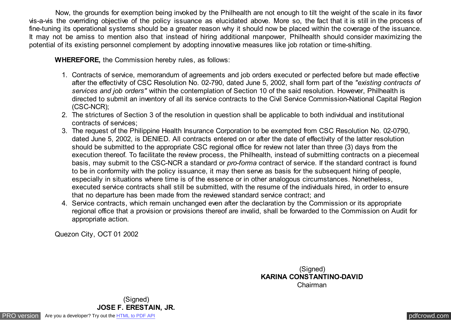Now, the grounds for exemption being invoked by the Philhealth are not enough to tilt the weight of the scale in its favor vis-a-vis the overriding objective of the policy issuance as elucidated above. More so, the fact that it is still in the process of fine-tuning its operational systems should be a greater reason why it should now be placed within the coverage of the issuance. It may not be amiss to mention also that instead of hiring additional manpower, Philhealth should consider maximizing the potential of its existing personnel complement by adopting innovative measures like job rotation or time-shifting.

 **WHEREFORE,** the Commission hereby rules, as follows:

- 1. Contracts of service, memorandum of agreements and job orders executed or perfected before but made effective after the effectivity of CSC Resolution No. 02-790, dated June 5, 2002, shall form part of the *"existing contracts of services and job orders"* within the contemplation of Section 10 of the said resolution. However, Philhealth is directed to submit an inventory of all its service contracts to the Civil Service Commission-National Capital Region (CSC-NCR);
- 2. The strictures of Section 3 of the resolution in question shall be applicable to both individual and institutional contracts of services;
- 3. The request of the Philippine Health Insurance Corporation to be exempted from CSC Resolution No. 02-0790, dated June 5, 2002, is DENIED. All contracts entered on or after the date of effectivity of the latter resolution should be submitted to the appropriate CSC regional office for review not later than three (3) days from the execution thereof. To facilitate the review process, the Philhealth, instead of submitting contracts on a piecemeal basis, may submit to the CSC-NCR a standard or *pro-forma* contract of service. If the standard contract is found to be in conformity with the policy issuance, it may then serve as basis for the subsequent hiring of people, especially in situations where time is of the essence or in other analogous circumstances. Nonetheless, executed service contracts shall still be submitted, with the resume of the individuals hired, in order to ensure that no departure has been made from the reviewed standard service contract; and
- 4. Service contracts, which remain unchanged even after the declaration by the Commission or its appropriate regional office that a provision or provisions thereof are invalid, shall be forwarded to the Commission on Audit for appropriate action.

Quezon City, OCT 01 2002

(Signed) **KARINA CONSTANTINO-DAVID** Chairman

(Signed) **JOSE F. ERESTAIN, JR.**

[PRO version](http://pdfcrowd.com/customize/) Are you a developer? Try out th[e HTML to PDF API](http://pdfcrowd.com/html-to-pdf-api/?ref=pdf) provided and the example of the HTML to PDF API [pdfcrowd.com](http://pdfcrowd.com)